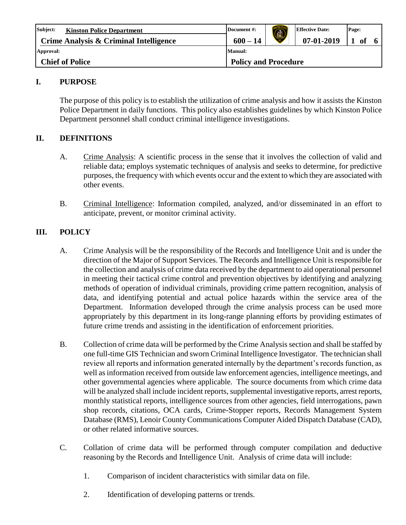| Subject:<br><b>Kinston Police Department</b> | Document #:                 |  | <b>Effective Date:</b> | Page: |               |  |
|----------------------------------------------|-----------------------------|--|------------------------|-------|---------------|--|
| Crime Analysis & Criminal Intelligence       | $600 - 14$                  |  | $07-01-2019$           |       | <sub>of</sub> |  |
| Approval:                                    | Manual:                     |  |                        |       |               |  |
| <b>Chief of Police</b>                       | <b>Policy and Procedure</b> |  |                        |       |               |  |

## **I. PURPOSE**

The purpose of this policy is to establish the utilization of crime analysis and how it assists the Kinston Police Department in daily functions. This policy also establishes guidelines by which Kinston Police Department personnel shall conduct criminal intelligence investigations.

# **II. DEFINITIONS**

- A. Crime Analysis: A scientific process in the sense that it involves the collection of valid and reliable data; employs systematic techniques of analysis and seeks to determine, for predictive purposes, the frequency with which events occur and the extent to which they are associated with other events.
- B. Criminal Intelligence: Information compiled, analyzed, and/or disseminated in an effort to anticipate, prevent, or monitor criminal activity.

# **III. POLICY**

- A. Crime Analysis will be the responsibility of the Records and Intelligence Unit and is under the direction of the Major of Support Services. The Records and Intelligence Unit is responsible for the collection and analysis of crime data received by the department to aid operational personnel in meeting their tactical crime control and prevention objectives by identifying and analyzing methods of operation of individual criminals, providing crime pattern recognition, analysis of data, and identifying potential and actual police hazards within the service area of the Department. Information developed through the crime analysis process can be used more appropriately by this department in its long-range planning efforts by providing estimates of future crime trends and assisting in the identification of enforcement priorities.
- B. Collection of crime data will be performed by the Crime Analysis section and shall be staffed by one full-time GIS Technician and sworn Criminal Intelligence Investigator. The technician shall review all reports and information generated internally by the department's records function, as well as information received from outside law enforcement agencies, intelligence meetings, and other governmental agencies where applicable. The source documents from which crime data will be analyzed shall include incident reports, supplemental investigative reports, arrest reports, monthly statistical reports, intelligence sources from other agencies, field interrogations, pawn shop records, citations, OCA cards, Crime-Stopper reports, Records Management System Database (RMS), Lenoir County Communications Computer Aided Dispatch Database (CAD), or other related informative sources.
- C. Collation of crime data will be performed through computer compilation and deductive reasoning by the Records and Intelligence Unit. Analysis of crime data will include:
	- 1. Comparison of incident characteristics with similar data on file.
	- 2. Identification of developing patterns or trends.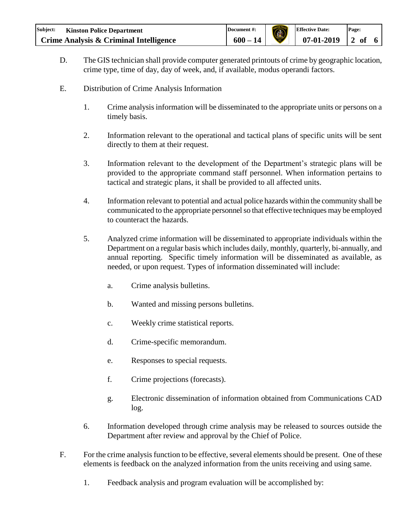| Subject: | <b>Kinston Police Department</b>       | Document #: | $\bigcirc$ | <b>Effective Date:</b> | Page: |  |
|----------|----------------------------------------|-------------|------------|------------------------|-------|--|
|          | Crime Analysis & Criminal Intelligence | $600 - 14$  |            | $07-01-2019$ 2 of      |       |  |

- D. The GIS technician shall provide computer generated printouts of crime by geographic location, crime type, time of day, day of week, and, if available, modus operandi factors.
- E. Distribution of Crime Analysis Information
	- 1. Crime analysis information will be disseminated to the appropriate units or persons on a timely basis.
	- 2. Information relevant to the operational and tactical plans of specific units will be sent directly to them at their request.
	- 3. Information relevant to the development of the Department's strategic plans will be provided to the appropriate command staff personnel. When information pertains to tactical and strategic plans, it shall be provided to all affected units.
	- 4. Information relevant to potential and actual police hazards within the community shall be communicated to the appropriate personnel so that effective techniques may be employed to counteract the hazards.
	- 5. Analyzed crime information will be disseminated to appropriate individuals within the Department on a regular basis which includes daily, monthly, quarterly, bi-annually, and annual reporting. Specific timely information will be disseminated as available, as needed, or upon request. Types of information disseminated will include:
		- a. Crime analysis bulletins.
		- b. Wanted and missing persons bulletins.
		- c. Weekly crime statistical reports.
		- d. Crime-specific memorandum.
		- e. Responses to special requests.
		- f. Crime projections (forecasts).
		- g. Electronic dissemination of information obtained from Communications CAD log.
	- 6. Information developed through crime analysis may be released to sources outside the Department after review and approval by the Chief of Police.
- F. For the crime analysis function to be effective, several elements should be present. One of these elements is feedback on the analyzed information from the units receiving and using same.
	- 1. Feedback analysis and program evaluation will be accomplished by: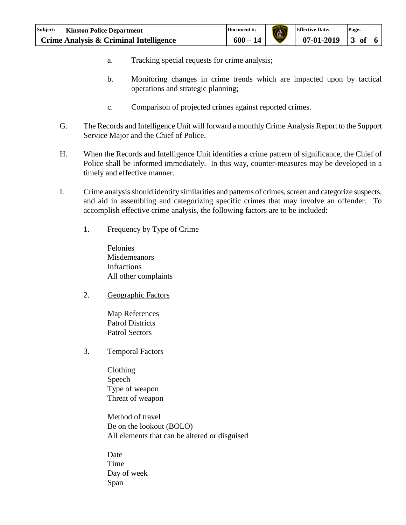- a. Tracking special requests for crime analysis;
- b. Monitoring changes in crime trends which are impacted upon by tactical operations and strategic planning;
- c. Comparison of projected crimes against reported crimes.
- G. The Records and Intelligence Unit will forward a monthly Crime Analysis Report to the Support Service Major and the Chief of Police.
- H. When the Records and Intelligence Unit identifies a crime pattern of significance, the Chief of Police shall be informed immediately. In this way, counter-measures may be developed in a timely and effective manner.
- I. Crime analysis should identify similarities and patterns of crimes, screen and categorize suspects, and aid in assembling and categorizing specific crimes that may involve an offender. To accomplish effective crime analysis, the following factors are to be included:
	- 1. Frequency by Type of Crime

Felonies **Misdemeanors** Infractions All other complaints

2. Geographic Factors

Map References Patrol Districts Patrol Sectors

3. Temporal Factors

Clothing Speech Type of weapon Threat of weapon

Method of travel Be on the lookout (BOLO) All elements that can be altered or disguised

Date Time Day of week Span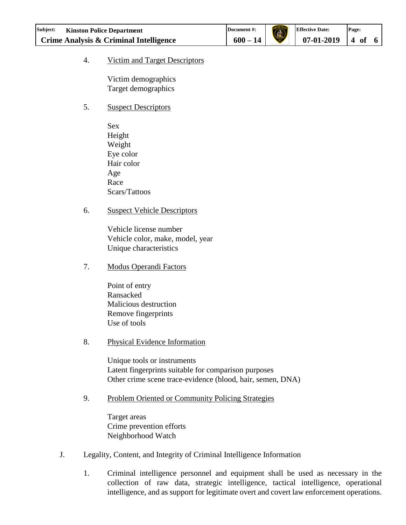### 4. Victim and Target Descriptors

Victim demographics Target demographics

### 5. Suspect Descriptors

Sex Height Weight Eye color Hair color Age Race Scars/Tattoos

### 6. Suspect Vehicle Descriptors

Vehicle license number Vehicle color, make, model, year Unique characteristics

7. Modus Operandi Factors

Point of entry Ransacked Malicious destruction Remove fingerprints Use of tools

#### 8. Physical Evidence Information

Unique tools or instruments Latent fingerprints suitable for comparison purposes Other crime scene trace-evidence (blood, hair, semen, DNA)

### 9. Problem Oriented or Community Policing Strategies

Target areas Crime prevention efforts Neighborhood Watch

- J. Legality, Content, and Integrity of Criminal Intelligence Information
	- 1. Criminal intelligence personnel and equipment shall be used as necessary in the collection of raw data, strategic intelligence, tactical intelligence, operational intelligence, and as support for legitimate overt and covert law enforcement operations.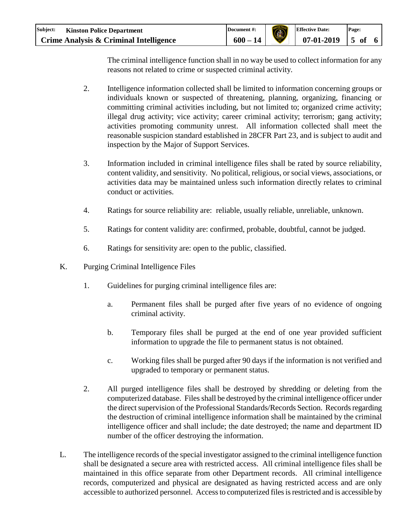| Subject: | <b>Kinston Police Department</b>       | Document #: | <b>Effective Date:</b> | Page: |  |
|----------|----------------------------------------|-------------|------------------------|-------|--|
|          | Crime Analysis & Criminal Intelligence | $600 - 14$  | $07-01-2019$ 5 of      |       |  |

The criminal intelligence function shall in no way be used to collect information for any reasons not related to crime or suspected criminal activity.

- 2. Intelligence information collected shall be limited to information concerning groups or individuals known or suspected of threatening, planning, organizing, financing or committing criminal activities including, but not limited to; organized crime activity; illegal drug activity; vice activity; career criminal activity; terrorism; gang activity; activities promoting community unrest. All information collected shall meet the reasonable suspicion standard established in 28CFR Part 23, and is subject to audit and inspection by the Major of Support Services.
- 3. Information included in criminal intelligence files shall be rated by source reliability, content validity, and sensitivity. No political, religious, or social views, associations, or activities data may be maintained unless such information directly relates to criminal conduct or activities.
- 4. Ratings for source reliability are: reliable, usually reliable, unreliable, unknown.
- 5. Ratings for content validity are: confirmed, probable, doubtful, cannot be judged.
- 6. Ratings for sensitivity are: open to the public, classified.
- K. Purging Criminal Intelligence Files
	- 1. Guidelines for purging criminal intelligence files are:
		- a. Permanent files shall be purged after five years of no evidence of ongoing criminal activity.
		- b. Temporary files shall be purged at the end of one year provided sufficient information to upgrade the file to permanent status is not obtained.
		- c. Working files shall be purged after 90 days if the information is not verified and upgraded to temporary or permanent status.
	- 2. All purged intelligence files shall be destroyed by shredding or deleting from the computerized database. Files shall be destroyed by the criminal intelligence officer under the direct supervision of the Professional Standards/Records Section. Records regarding the destruction of criminal intelligence information shall be maintained by the criminal intelligence officer and shall include; the date destroyed; the name and department ID number of the officer destroying the information.
- L. The intelligence records of the special investigator assigned to the criminal intelligence function shall be designated a secure area with restricted access. All criminal intelligence files shall be maintained in this office separate from other Department records. All criminal intelligence records, computerized and physical are designated as having restricted access and are only accessible to authorized personnel. Access to computerized files is restricted and is accessible by